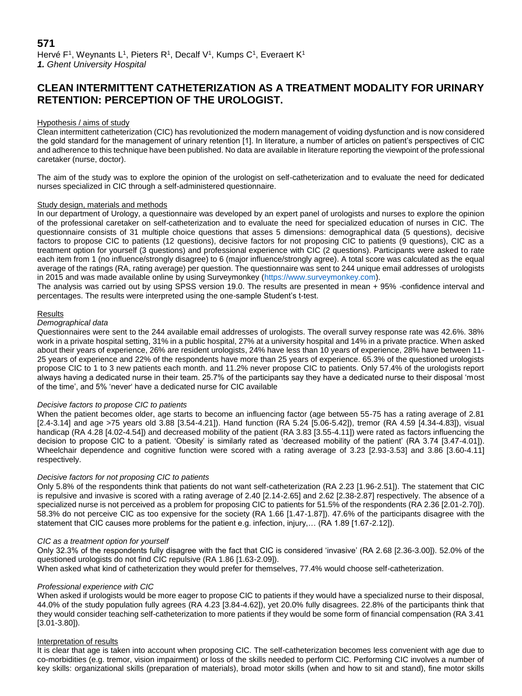# **CLEAN INTERMITTENT CATHETERIZATION AS A TREATMENT MODALITY FOR URINARY RETENTION: PERCEPTION OF THE UROLOGIST.**

## Hypothesis / aims of study

Clean intermittent catheterization (CIC) has revolutionized the modern management of voiding dysfunction and is now considered the gold standard for the management of urinary retention [1]. In literature, a number of articles on patient's perspectives of CIC and adherence to this technique have been published. No data are available in literature reporting the viewpoint of the professional caretaker (nurse, doctor).

The aim of the study was to explore the opinion of the urologist on self-catheterization and to evaluate the need for dedicated nurses specialized in CIC through a self-administered questionnaire.

## Study design, materials and methods

In our department of Urology, a questionnaire was developed by an expert panel of urologists and nurses to explore the opinion of the professional caretaker on self-catheterization and to evaluate the need for specialized education of nurses in CIC. The questionnaire consists of 31 multiple choice questions that asses 5 dimensions: demographical data (5 questions), decisive factors to propose CIC to patients (12 questions), decisive factors for not proposing CIC to patients (9 questions), CIC as a treatment option for yourself (3 questions) and professional experience with CIC (2 questions). Participants were asked to rate each item from 1 (no influence/strongly disagree) to 6 (major influence/strongly agree). A total score was calculated as the equal average of the ratings (RA, rating average) per question. The questionnaire was sent to 244 unique email addresses of urologists in 2015 and was made available online by using Surveymonkey [\(https://www.surveymonkey.com\)](https://www.surveymonkey.com/).

The analysis was carried out by using SPSS version 19.0. The results are presented in mean + 95% -confidence interval and percentages. The results were interpreted using the one-sample Student's t-test.

#### Results

## *Demographical data*

Questionnaires were sent to the 244 available email addresses of urologists. The overall survey response rate was 42.6%. 38% work in a private hospital setting, 31% in a public hospital, 27% at a university hospital and 14% in a private practice. When asked about their years of experience, 26% are resident urologists, 24% have less than 10 years of experience, 28% have between 11- 25 years of experience and 22% of the respondents have more than 25 years of experience. 65.3% of the questioned urologists propose CIC to 1 to 3 new patients each month. and 11.2% never propose CIC to patients. Only 57.4% of the urologists report always having a dedicated nurse in their team. 25.7% of the participants say they have a dedicated nurse to their disposal 'most of the time', and 5% 'never' have a dedicated nurse for CIC available

## *Decisive factors to propose CIC to patients*

When the patient becomes older, age starts to become an influencing factor (age between 55-75 has a rating average of 2.81 [2.4-3.14] and age >75 years old 3.88 [3.54-4.21]). Hand function (RA 5.24 [5.06-5.42]), tremor (RA 4.59 [4.34-4.83]), visual handicap (RA 4.28 [4.02-4.54]) and decreased mobility of the patient (RA 3.83 [3.55-4.11]) were rated as factors influencing the decision to propose CIC to a patient. 'Obesity' is similarly rated as 'decreased mobility of the patient' (RA 3.74 [3.47-4.01]). Wheelchair dependence and cognitive function were scored with a rating average of 3.23 [2.93-3.53] and 3.86 [3.60-4.11] respectively.

#### *Decisive factors for not proposing CIC to patients*

Only 5.8% of the respondents think that patients do not want self-catheterization (RA 2.23 [1.96-2.51]). The statement that CIC is repulsive and invasive is scored with a rating average of 2.40 [2.14-2.65] and 2.62 [2.38-2.87] respectively. The absence of a specialized nurse is not perceived as a problem for proposing CIC to patients for 51.5% of the respondents (RA 2.36 [2.01-2.70]). 58.3% do not perceive CIC as too expensive for the society (RA 1.66 [1.47-1.87]). 47.6% of the participants disagree with the statement that CIC causes more problems for the patient e.g. infection, injury,… (RA 1.89 [1.67-2.12]).

## *CIC as a treatment option for yourself*

Only 32.3% of the respondents fully disagree with the fact that CIC is considered 'invasive' (RA 2.68 [2.36-3.00]). 52.0% of the questioned urologists do not find CIC repulsive (RA 1.86 [1.63-2.09]).

When asked what kind of catheterization they would prefer for themselves, 77.4% would choose self-catheterization.

#### *Professional experience with CIC*

When asked if urologists would be more eager to propose CIC to patients if they would have a specialized nurse to their disposal, 44.0% of the study population fully agrees (RA 4.23 [3.84-4.62]), yet 20.0% fully disagrees. 22.8% of the participants think that they would consider teaching self-catheterization to more patients if they would be some form of financial compensation (RA 3.41 [3.01-3.80]).

#### Interpretation of results

It is clear that age is taken into account when proposing CIC. The self-catheterization becomes less convenient with age due to co-morbidities (e.g. tremor, vision impairment) or loss of the skills needed to perform CIC. Performing CIC involves a number of key skills: organizational skills (preparation of materials), broad motor skills (when and how to sit and stand), fine motor skills